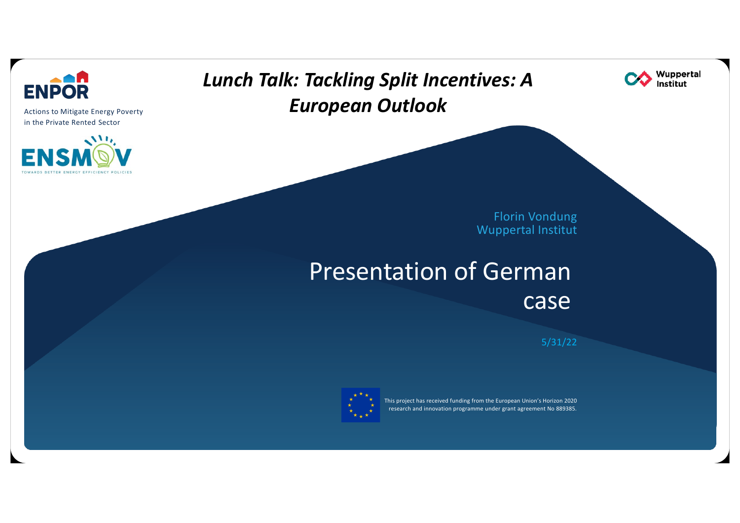

Actions to Mitigate Energy Poverty in the Private Rented Sector



## Lunch Talk: Tackling Split Incentives: A European Outlook



Florin Vondung Wuppertal Institut

# Presentation of German case

5/31/22



This project has received funding from the European Union's Horizon 2020 research and innovation programme under grant agreement No 889385.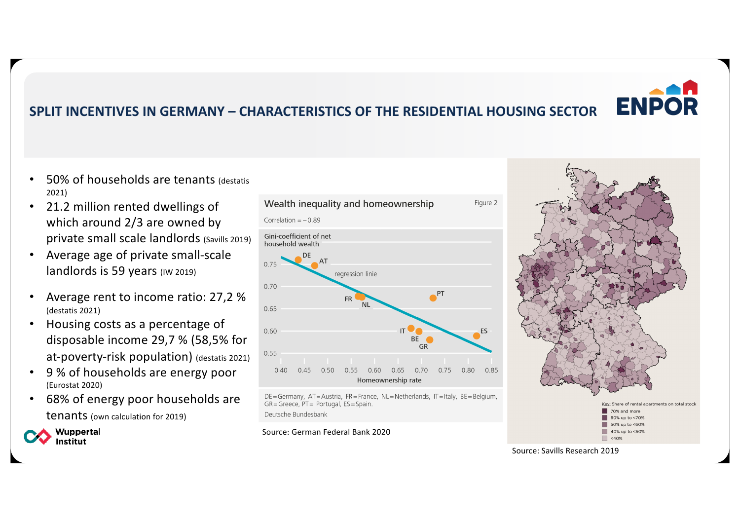## SPLIT INCENTIVES IN GERMANY – CHARACTERISTICS OF THE RESIDENTIAL HOUSING SECTOR

- 50% of households are tenants (destatis 2021)
- 21.2 million rented dwellings of which around 2/3 are owned by private small scale landlords (Savills 2019)
- Average age of private small-scale landlords is 59 years (IW 2019)
- Average rent to income ratio: 27,2 % (destatis 2021)
- Housing costs as a percentage of disposable income 29,7 % (58,5% for at-poverty-risk population) (destatis 2021)
- 9 % of households are energy poor (Eurostat 2020)
- 68% of energy poor households are tenants (own calculation for 2019)

Wuppertal Institut



DE=Germany, AT=Austria, FR=France, NL=Netherlands, IT=Italy, BE=Belgium,  $GR = Greece$ ,  $PT = Portugal$ ,  $ES = Spain$ .

Deutsche Bundesbank

### Source: German Federal Bank 2020



Source: Savills Research 2019

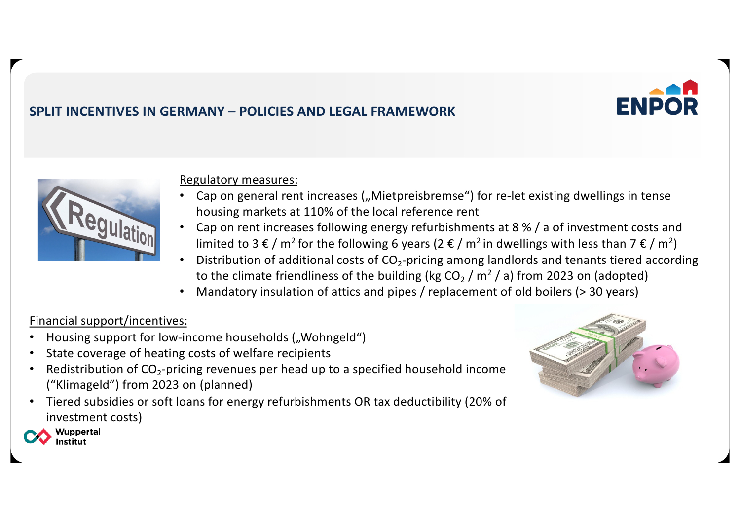

Regulatory measures:

SPLIT INCENTIVES IN GERMANY – POLICIES AND LEGAL FRAMEWORK

- Cap on general rent increases ("Mietpreisbremse") for re-let existing dwellings in tense housing markets at 110% of the local reference rent
- Cap on rent increases following energy refurbishments at 8 % / a of investment costs and limited to 3 € / m<sup>2</sup> for the following 6 years (2 € / m<sup>2</sup> in dwellings with less than 7 € / m<sup>2</sup>)
- Distribution of additional costs of  $CO<sub>2</sub>$ -pricing among landlords and tenants tiered according to the climate friendliness of the building (kg  $CO<sub>2</sub>$  / m<sup>2</sup> / a) from 2023 on (adopted)
- Mandatory insulation of attics and pipes / replacement of old boilers (> 30 years)

### Financial support/incentives:

- Housing support for low-income households ("Wohngeld")
- State coverage of heating costs of welfare recipients
- Redistribution of  $CO_2$ -pricing revenues per head up to a specified household income ("Klimageld") from 2023 on (planned)
- Tiered subsidies or soft loans for energy refurbishments OR tax deductibility (20% of investment costs)



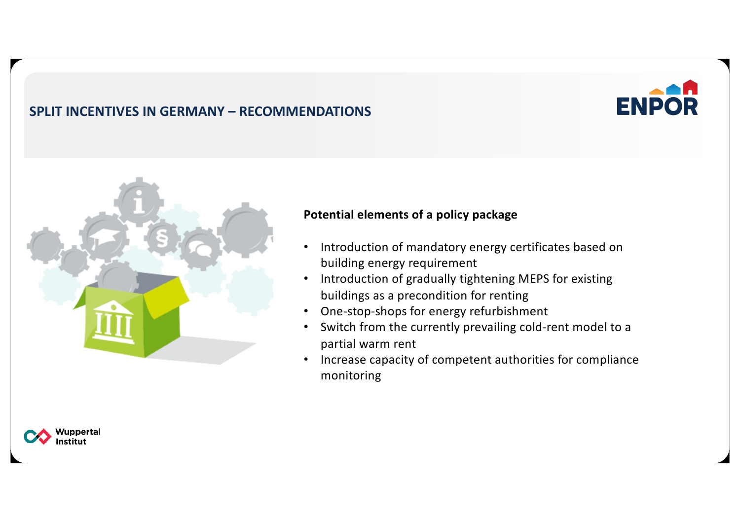### SPLIT INCENTIVES IN GERMANY – RECOMMENDATIONS



### Potential elements of a policy package

• Introduction of mandatory energy certificates based on building energy requirement

**ENPOR** 

- Introduction of gradually tightening MEPS for existing buildings as a precondition for renting
- One-stop-shops for energy refurbishment
- Switch from the currently prevailing cold-rent model to a partial warm rent
- Increase capacity of competent authorities for compliance monitoring